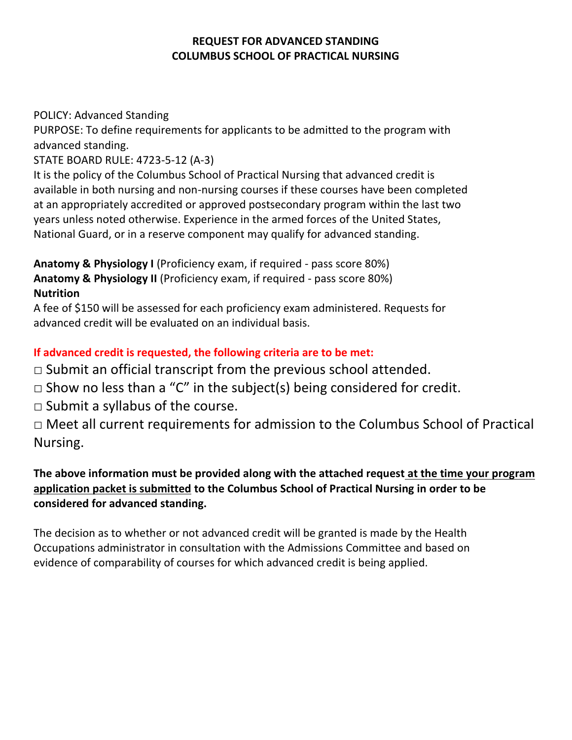#### **REQUEST FOR ADVANCED STANDING COLUMBUS SCHOOL OF PRACTICAL NURSING**

POLICY: Advanced Standing

PURPOSE: To define requirements for applicants to be admitted to the program with advanced standing.

STATE BOARD RULE: 4723-5-12 (A-3)

It is the policy of the Columbus School of Practical Nursing that advanced credit is available in both nursing and non-nursing courses if these courses have been completed at an appropriately accredited or approved postsecondary program within the last two years unless noted otherwise. Experience in the armed forces of the United States, National Guard, or in a reserve component may qualify for advanced standing.

**Anatomy & Physiology I** (Proficiency exam, if required - pass score 80%) **Anatomy & Physiology II** (Proficiency exam, if required - pass score 80%) **Nutrition**

A fee of \$150 will be assessed for each proficiency exam administered. Requests for advanced credit will be evaluated on an individual basis.

# **If advanced credit is requested, the following criteria are to be met:**

 $\Box$  Submit an official transcript from the previous school attended.

- $\Box$  Show no less than a "C" in the subject(s) being considered for credit.
- $\Box$  Submit a syllabus of the course.

□ Meet all current requirements for admission to the Columbus School of Practical Nursing.

### **The above information must be provided along with the attached request at the time your program application packet is submitted to the Columbus School of Practical Nursing in order to be considered for advanced standing.**

The decision as to whether or not advanced credit will be granted is made by the Health Occupations administrator in consultation with the Admissions Committee and based on evidence of comparability of courses for which advanced credit is being applied.